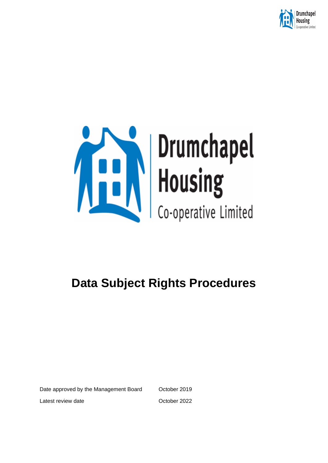

# **Service Strumchapel**<br>Housing<br>Co-operative Limited

# **Data Subject Rights Procedures**

Date approved by the Management Board October 2019

Latest review date **Contract Contract Contract Contract Contract Contract Contract Contract Contract Contract Contract Contract Contract Contract Contract Contract Contract Contract Contract Contract Contract Contract Cont**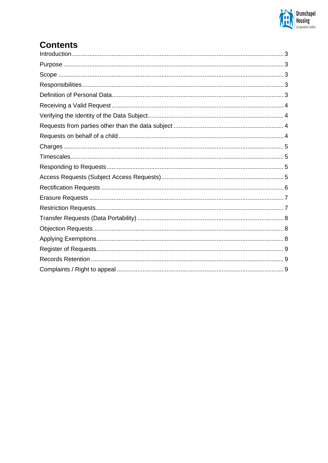

## **Contents**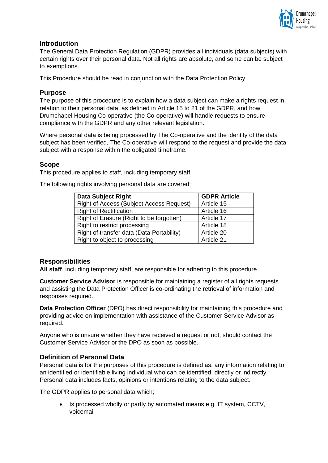

### <span id="page-2-0"></span>**Introduction**

The General Data Protection Regulation (GDPR) provides all individuals (data subjects) with certain rights over their personal data. Not all rights are absolute, and some can be subject to exemptions.

This Procedure should be read in conjunction with the Data Protection Policy.

### <span id="page-2-1"></span>**Purpose**

The purpose of this procedure is to explain how a data subject can make a rights request in relation to their personal data, as defined in Article 15 to 21 of the GDPR, and how Drumchapel Housing Co-operative (the Co-operative) will handle requests to ensure compliance with the GDPR and any other relevant legislation.

Where personal data is being processed by The Co-operative and the identity of the data subject has been verified, The Co-operative will respond to the request and provide the data subject with a response within the obligated timeframe.

### <span id="page-2-2"></span>**Scope**

This procedure applies to staff, including temporary staff.

The following rights involving personal data are covered:

| <b>Data Subject Right</b>                       | <b>GDPR Article</b> |
|-------------------------------------------------|---------------------|
| <b>Right of Access (Subject Access Request)</b> | Article 15          |
| <b>Right of Rectification</b>                   | Article 16          |
| Right of Erasure (Right to be forgotten)        | Article 17          |
| Right to restrict processing                    | Article 18          |
| Right of transfer data (Data Portability)       | Article 20          |
| Right to object to processing                   | Article 21          |

### <span id="page-2-3"></span>**Responsibilities**

**All staff**, including temporary staff, are responsible for adhering to this procedure.

**Customer Service Advisor** is responsible for maintaining a register of all rights requests and assisting the Data Protection Officer is co-ordinating the retrieval of information and responses required.

**Data Protection Officer** (DPO) has direct responsibility for maintaining this procedure and providing advice on implementation with assistance of the Customer Service Advisor as required.

Anyone who is unsure whether they have received a request or not, should contact the Customer Service Advisor or the DPO as soon as possible.

### <span id="page-2-4"></span>**Definition of Personal Data**

Personal data is for the purposes of this procedure is defined as, any information relating to an identified or identifiable living individual who can be identified, directly or indirectly. Personal data includes facts, opinions or intentions relating to the data subject.

The GDPR applies to personal data which;

• Is processed wholly or partly by automated means e.g. IT system, CCTV, voicemail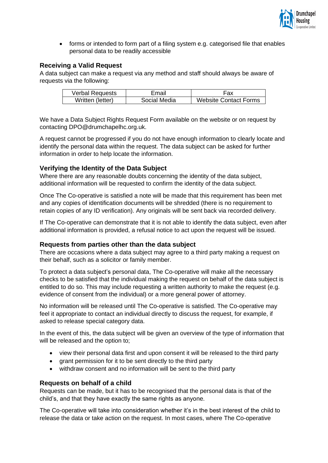

• forms or intended to form part of a filing system e.g. categorised file that enables personal data to be readily accessible

### <span id="page-3-0"></span>**Receiving a Valid Request**

A data subject can make a request via any method and staff should always be aware of requests via the following:

| <b>Verbal Requests</b> | Email        | Fax                          |
|------------------------|--------------|------------------------------|
| Written (letter)       | Social Media | <b>Website Contact Forms</b> |

We have a Data Subject Rights Request Form available on the website or on request by contacting DPO@drumchapelhc.org.uk.

A request cannot be progressed if you do not have enough information to clearly locate and identify the personal data within the request. The data subject can be asked for further information in order to help locate the information.

### <span id="page-3-1"></span>**Verifying the Identity of the Data Subject**

Where there are any reasonable doubts concerning the identity of the data subject, additional information will be requested to confirm the identity of the data subject.

Once The Co-operative is satisfied a note will be made that this requirement has been met and any copies of identification documents will be shredded (there is no requirement to retain copies of any ID verification). Any originals will be sent back via recorded delivery.

If The Co-operative can demonstrate that it is not able to identify the data subject, even after additional information is provided, a refusal notice to act upon the request will be issued.

### <span id="page-3-2"></span>**Requests from parties other than the data subject**

There are occasions where a data subject may agree to a third party making a request on their behalf, such as a solicitor or family member.

To protect a data subject's personal data, The Co-operative will make all the necessary checks to be satisfied that the individual making the request on behalf of the data subject is entitled to do so. This may include requesting a written authority to make the request (e.g. evidence of consent from the individual) or a more general power of attorney.

No information will be released until The Co-operative is satisfied. The Co-operative may feel it appropriate to contact an individual directly to discuss the request, for example, if asked to release special category data.

In the event of this, the data subject will be given an overview of the type of information that will be released and the option to;

- view their personal data first and upon consent it will be released to the third party
- grant permission for it to be sent directly to the third party
- withdraw consent and no information will be sent to the third party

### <span id="page-3-3"></span>**Requests on behalf of a child**

Requests can be made, but it has to be recognised that the personal data is that of the child's, and that they have exactly the same rights as anyone.

The Co-operative will take into consideration whether it's in the best interest of the child to release the data or take action on the request. In most cases, where The Co-operative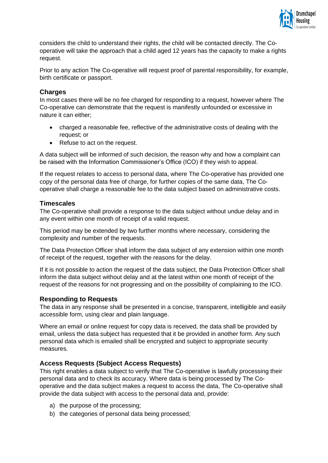

considers the child to understand their rights, the child will be contacted directly. The Cooperative will take the approach that a child aged 12 years has the capacity to make a rights request.

Prior to any action The Co-operative will request proof of parental responsibility, for example, birth certificate or passport.

### <span id="page-4-0"></span>**Charges**

In most cases there will be no fee charged for responding to a request, however where The Co-operative can demonstrate that the request is manifestly unfounded or excessive in nature it can either;

- charged a reasonable fee, reflective of the administrative costs of dealing with the request; or
- Refuse to act on the request.

A data subject will be informed of such decision, the reason why and how a complaint can be raised with the Information Commissioner's Office (ICO) if they wish to appeal.

If the request relates to access to personal data, where The Co-operative has provided one copy of the personal data free of charge, for further copies of the same data, The Cooperative shall charge a reasonable fee to the data subject based on administrative costs.

### <span id="page-4-1"></span>**Timescales**

The Co-operative shall provide a response to the data subject without undue delay and in any event within one month of receipt of a valid request.

This period may be extended by two further months where necessary, considering the complexity and number of the requests.

The Data Protection Officer shall inform the data subject of any extension within one month of receipt of the request, together with the reasons for the delay.

If it is not possible to action the request of the data subject, the Data Protection Officer shall inform the data subject without delay and at the latest within one month of receipt of the request of the reasons for not progressing and on the possibility of complaining to the ICO.

### <span id="page-4-2"></span>**Responding to Requests**

The data in any response shall be presented in a concise, transparent, intelligible and easily accessible form, using clear and plain language.

Where an email or online request for copy data is received, the data shall be provided by email, unless the data subject has requested that it be provided in another form. Any such personal data which is emailed shall be encrypted and subject to appropriate security measures.

### <span id="page-4-3"></span>**Access Requests (Subject Access Requests)**

This right enables a data subject to verify that The Co-operative is lawfully processing their personal data and to check its accuracy. Where data is being processed by The Cooperative and the data subject makes a request to access the data, The Co-operative shall provide the data subject with access to the personal data and, provide:

- a) the purpose of the processing;
- b) the categories of personal data being processed;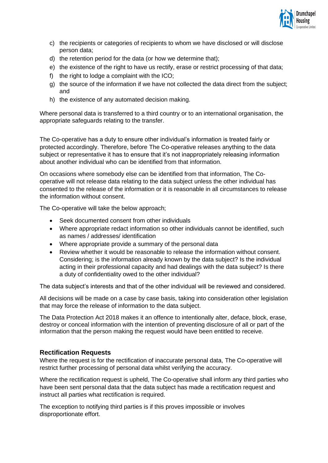

- c) the recipients or categories of recipients to whom we have disclosed or will disclose person data;
- d) the retention period for the data (or how we determine that);
- e) the existence of the right to have us rectify, erase or restrict processing of that data;
- f) the right to lodge a complaint with the ICO;
- g) the source of the information if we have not collected the data direct from the subject; and
- h) the existence of any automated decision making.

Where personal data is transferred to a third country or to an international organisation, the appropriate safeguards relating to the transfer.

The Co-operative has a duty to ensure other individual's information is treated fairly or protected accordingly. Therefore, before The Co-operative releases anything to the data subject or representative it has to ensure that it's not inappropriately releasing information about another individual who can be identified from that information.

On occasions where somebody else can be identified from that information, The Cooperative will not release data relating to the data subject unless the other individual has consented to the release of the information or it is reasonable in all circumstances to release the information without consent.

The Co-operative will take the below approach;

- Seek documented consent from other individuals
- Where appropriate redact information so other individuals cannot be identified, such as names / addresses/ identification
- Where appropriate provide a summary of the personal data
- Review whether it would be reasonable to release the information without consent. Considering; is the information already known by the data subject? Is the individual acting in their professional capacity and had dealings with the data subject? Is there a duty of confidentiality owed to the other individual?

The data subject's interests and that of the other individual will be reviewed and considered.

All decisions will be made on a case by case basis, taking into consideration other legislation that may force the release of information to the data subject.

The Data Protection Act 2018 makes it an offence to intentionally alter, deface, block, erase, destroy or conceal information with the intention of preventing disclosure of all or part of the information that the person making the request would have been entitled to receive.

### <span id="page-5-0"></span>**Rectification Requests**

Where the request is for the rectification of inaccurate personal data, The Co-operative will restrict further processing of personal data whilst verifying the accuracy.

Where the rectification request is upheld, The Co-operative shall inform any third parties who have been sent personal data that the data subject has made a rectification request and instruct all parties what rectification is required.

The exception to notifying third parties is if this proves impossible or involves disproportionate effort.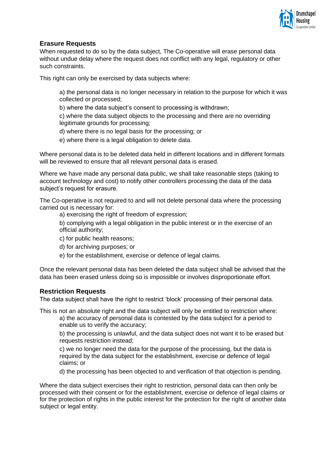

### <span id="page-6-0"></span>**Erasure Requests**

When requested to do so by the data subject, The Co-operative will erase personal data without undue delay where the request does not conflict with any legal, regulatory or other such constraints.

This right can only be exercised by data subjects where:

a) the personal data is no longer necessary in relation to the purpose for which it was collected or processed;

b) where the data subject's consent to processing is withdrawn;

c) where the data subject objects to the processing and there are no overriding legitimate grounds for processing;

d) where there is no legal basis for the processing; or

e) where there is a legal obligation to delete data.

Where personal data is to be deleted data held in different locations and in different formats will be reviewed to ensure that all relevant personal data is erased.

Where we have made any personal data public, we shall take reasonable steps (taking to account technology and cost) to notify other controllers processing the data of the data subject's request for erasure.

The Co-operative is not required to and will not delete personal data where the processing carried out is necessary for:

a) exercising the right of freedom of expression;

b) complying with a legal obligation in the public interest or in the exercise of an official authority;

- c) for public health reasons;
- d) for archiving purposes; or
- e) for the establishment, exercise or defence of legal claims.

Once the relevant personal data has been deleted the data subject shall be advised that the data has been erased unless doing so is impossible or involves disproportionate effort.

### <span id="page-6-1"></span>**Restriction Requests**

The data subject shall have the right to restrict 'block' processing of their personal data.

This is not an absolute right and the data subject will only be entitled to restriction where:

a) the accuracy of personal data is contested by the data subject for a period to enable us to verify the accuracy;

b) the processing is unlawful, and the data subject does not want it to be erased but requests restriction instead;

c) we no longer need the data for the purpose of the processing, but the data is required by the data subject for the establishment, exercise or defence of legal claims; or

d) the processing has been objected to and verification of that objection is pending.

Where the data subject exercises their right to restriction, personal data can then only be processed with their consent or for the establishment, exercise or defence of legal claims or for the protection of rights in the public interest for the protection for the right of another data subject or legal entity.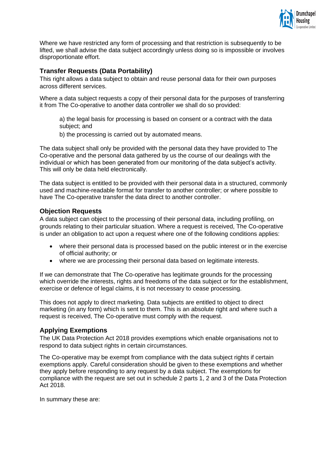

Where we have restricted any form of processing and that restriction is subsequently to be lifted, we shall advise the data subject accordingly unless doing so is impossible or involves disproportionate effort.

### <span id="page-7-0"></span>**Transfer Requests (Data Portability)**

This right allows a data subject to obtain and reuse personal data for their own purposes across different services.

Where a data subject requests a copy of their personal data for the purposes of transferring it from The Co-operative to another data controller we shall do so provided:

a) the legal basis for processing is based on consent or a contract with the data subject; and

b) the processing is carried out by automated means.

The data subject shall only be provided with the personal data they have provided to The Co-operative and the personal data gathered by us the course of our dealings with the individual or which has been generated from our monitoring of the data subject's activity. This will only be data held electronically.

The data subject is entitled to be provided with their personal data in a structured, commonly used and machine-readable format for transfer to another controller; or where possible to have The Co-operative transfer the data direct to another controller.

### <span id="page-7-1"></span>**Objection Requests**

A data subject can object to the processing of their personal data, including profiling, on grounds relating to their particular situation. Where a request is received, The Co-operative is under an obligation to act upon a request where one of the following conditions applies:

- where their personal data is processed based on the public interest or in the exercise of official authority; or
- where we are processing their personal data based on legitimate interests.

If we can demonstrate that The Co-operative has legitimate grounds for the processing which override the interests, rights and freedoms of the data subject or for the establishment, exercise or defence of legal claims, it is not necessary to cease processing.

This does not apply to direct marketing. Data subjects are entitled to object to direct marketing (in any form) which is sent to them. This is an absolute right and where such a request is received, The Co-operative must comply with the request.

### <span id="page-7-2"></span>**Applying Exemptions**

The UK Data Protection Act 2018 provides exemptions which enable organisations not to respond to data subject rights in certain circumstances.

The Co-operative may be exempt from compliance with the data subject rights if certain exemptions apply. Careful consideration should be given to these exemptions and whether they apply before responding to any request by a data subject. The exemptions for compliance with the request are set out in schedule 2 parts 1, 2 and 3 of the Data Protection Act 2018.

In summary these are: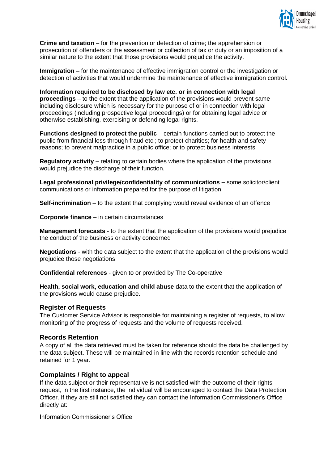

**Crime and taxation** – for the prevention or detection of crime; the apprehension or prosecution of offenders or the assessment or collection of tax or duty or an imposition of a similar nature to the extent that those provisions would prejudice the activity.

**Immigration** – for the maintenance of effective immigration control or the investigation or detection of activities that would undermine the maintenance of effective immigration control.

**Information required to be disclosed by law etc. or in connection with legal proceedings** – to the extent that the application of the provisions would prevent same including disclosure which is necessary for the purpose of or in connection with legal proceedings (including prospective legal proceedings) or for obtaining legal advice or otherwise establishing, exercising or defending legal rights.

**Functions designed to protect the public** – certain functions carried out to protect the public from financial loss through fraud etc.; to protect charities; for health and safety reasons; to prevent malpractice in a public office; or to protect business interests.

**Regulatory activity** – relating to certain bodies where the application of the provisions would prejudice the discharge of their function.

**Legal professional privilege/confidentiality of communications –** some solicitor/client communications or information prepared for the purpose of litigation

**Self-incrimination** – to the extent that complying would reveal evidence of an offence

**Corporate finance** – in certain circumstances

**Management forecasts** - to the extent that the application of the provisions would prejudice the conduct of the business or activity concerned

**Negotiations** - with the data subject to the extent that the application of the provisions would prejudice those negotiations

**Confidential references** - given to or provided by The Co-operative

**Health, social work, education and child abuse** data to the extent that the application of the provisions would cause prejudice.

### <span id="page-8-0"></span>**Register of Requests**

The Customer Service Advisor is responsible for maintaining a register of requests, to allow monitoring of the progress of requests and the volume of requests received.

### <span id="page-8-1"></span>**Records Retention**

A copy of all the data retrieved must be taken for reference should the data be challenged by the data subject. These will be maintained in line with the records retention schedule and retained for 1 year.

### <span id="page-8-2"></span>**Complaints / Right to appeal**

If the data subject or their representative is not satisfied with the outcome of their rights request, in the first instance, the individual will be encouraged to contact the Data Protection Officer. If they are still not satisfied they can contact the Information Commissioner's Office directly at:

Information Commissioner's Office